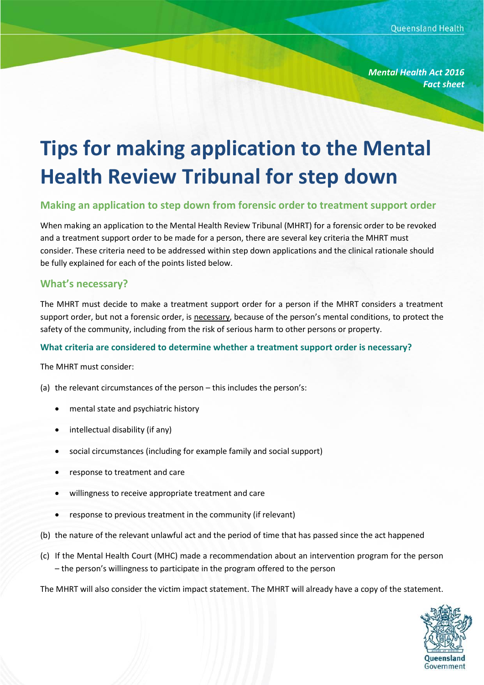*Mental Health Act 2016 Fact sheet*

# **Tips for making application to the Mental Health Review Tribunal for step down**

### **Making an application to step down from forensic order to treatment support order**

When making an application to the Mental Health Review Tribunal (MHRT) for a forensic order to be revoked and a treatment support order to be made for a person, there are several key criteria the MHRT must consider. These criteria need to be addressed within step down applications and the clinical rationale should be fully explained for each of the points listed below.

#### **What's necessary?**

The MHRT must decide to make a treatment support order for a person if the MHRT considers a treatment support order, but not a forensic order, is necessary, because of the person's mental conditions, to protect the safety of the community, including from the risk of serious harm to other persons or property.

#### **What criteria are considered to determine whether a treatment support order is necessary?**

The MHRT must consider:

- (a) the relevant circumstances of the person this includes the person's:
	- mental state and psychiatric history
	- intellectual disability (if any)
	- social circumstances (including for example family and social support)
	- response to treatment and care
	- willingness to receive appropriate treatment and care
	- response to previous treatment in the community (if relevant)
- (b) the nature of the relevant unlawful act and the period of time that has passed since the act happened
- (c) If the Mental Health Court (MHC) made a recommendation about an intervention program for the person – the person's willingness to participate in the program offered to the person

The MHRT will also consider the victim impact statement. The MHRT will already have a copy of the statement.

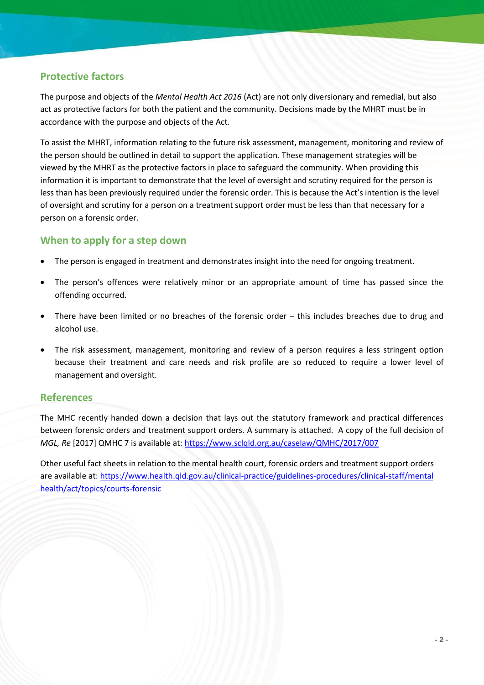## **Protective factors**

The purpose and objects of the *Mental Health Act 2016* (Act) are not only diversionary and remedial, but also act as protective factors for both the patient and the community. Decisions made by the MHRT must be in accordance with the purpose and objects of the Act*.*

To assist the MHRT, information relating to the future risk assessment, management, monitoring and review of the person should be outlined in detail to support the application. These management strategies will be viewed by the MHRT as the protective factors in place to safeguard the community. When providing this information it is important to demonstrate that the level of oversight and scrutiny required for the person is less than has been previously required under the forensic order. This is because the Act's intention is the level of oversight and scrutiny for a person on a treatment support order must be less than that necessary for a person on a forensic order.

## **When to apply for a step down**

- The person is engaged in treatment and demonstrates insight into the need for ongoing treatment.
- The person's offences were relatively minor or an appropriate amount of time has passed since the offending occurred.
- There have been limited or no breaches of the forensic order this includes breaches due to drug and alcohol use.
- The risk assessment, management, monitoring and review of a person requires a less stringent option because their treatment and care needs and risk profile are so reduced to require a lower level of management and oversight.

### **References**

The MHC recently handed down a decision that lays out the statutory framework and practical differences between forensic orders and treatment support orders. A summary is attached. A copy of the full decision of *MGL, Re* [2017] QMHC 7 is available at: <https://www.sclqld.org.au/caselaw/QMHC/2017/007>

Other useful fact sheets in relation to the mental health court, forensic orders and treatment support orders are available at: https://www.health.qld.gov.au/clinical-practice/guidelines-procedures/clinical-staff/mental [health/act/topics/courts-forensic](https://www.health.qld.gov.au/clinical-practice/guidelines-procedures/clinical-staff/mental%20health/act/topics/courts-forensic)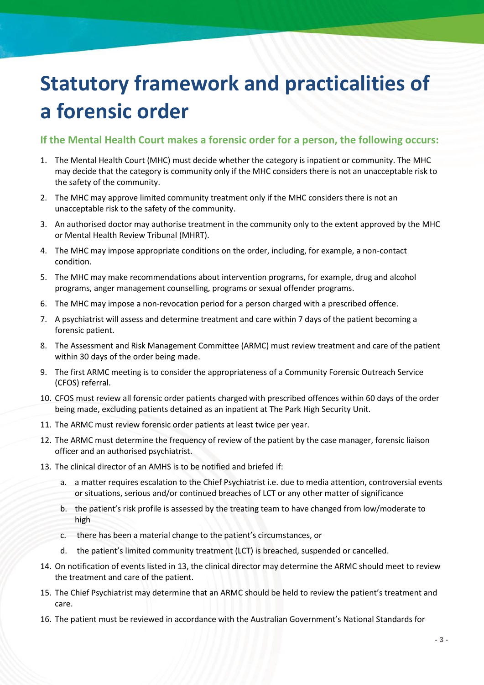## **Statutory framework and practicalities of a forensic order**

### **If the Mental Health Court makes a forensic order for a person, the following occurs:**

- 1. The Mental Health Court (MHC) must decide whether the category is inpatient or community. The MHC may decide that the category is community only if the MHC considers there is not an unacceptable risk to the safety of the community.
- 2. The MHC may approve limited community treatment only if the MHC considers there is not an unacceptable risk to the safety of the community.
- 3. An authorised doctor may authorise treatment in the community only to the extent approved by the MHC or Mental Health Review Tribunal (MHRT).
- 4. The MHC may impose appropriate conditions on the order, including, for example, a non-contact condition.
- 5. The MHC may make recommendations about intervention programs, for example, drug and alcohol programs, anger management counselling, programs or sexual offender programs.
- 6. The MHC may impose a non-revocation period for a person charged with a prescribed offence.
- 7. A psychiatrist will assess and determine treatment and care within 7 days of the patient becoming a forensic patient.
- 8. The Assessment and Risk Management Committee (ARMC) must review treatment and care of the patient within 30 days of the order being made.
- 9. The first ARMC meeting is to consider the appropriateness of a Community Forensic Outreach Service (CFOS) referral.
- 10. CFOS must review all forensic order patients charged with prescribed offences within 60 days of the order being made, excluding patients detained as an inpatient at The Park High Security Unit.
- 11. The ARMC must review forensic order patients at least twice per year.
- 12. The ARMC must determine the frequency of review of the patient by the case manager, forensic liaison officer and an authorised psychiatrist.
- 13. The clinical director of an AMHS is to be notified and briefed if:
	- a. a matter requires escalation to the Chief Psychiatrist i.e. due to media attention, controversial events or situations, serious and/or continued breaches of LCT or any other matter of significance
	- b. the patient's risk profile is assessed by the treating team to have changed from low/moderate to high
	- c. there has been a material change to the patient's circumstances, or
	- d. the patient's limited community treatment (LCT) is breached, suspended or cancelled.
- 14. On notification of events listed in 13, the clinical director may determine the ARMC should meet to review the treatment and care of the patient.
- 15. The Chief Psychiatrist may determine that an ARMC should be held to review the patient's treatment and care.
- 16. The patient must be reviewed in accordance with the Australian Government's National Standards for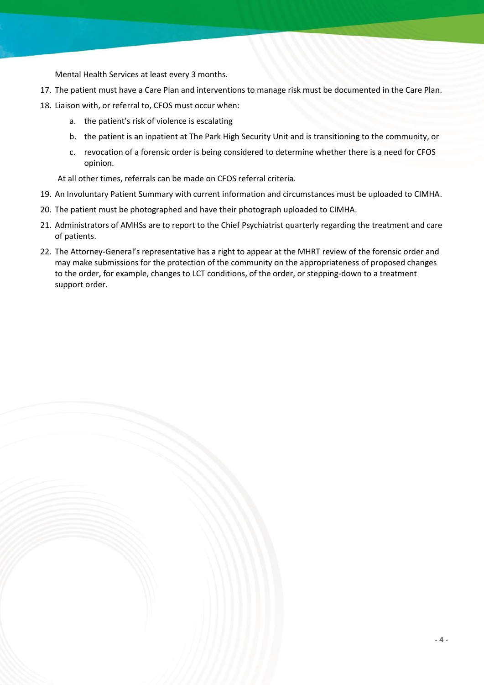Mental Health Services at least every 3 months.

- 17. The patient must have a Care Plan and interventions to manage risk must be documented in the Care Plan.
- 18. Liaison with, or referral to, CFOS must occur when:
	- a. the patient's risk of violence is escalating
	- b. the patient is an inpatient at The Park High Security Unit and is transitioning to the community, or
	- c. revocation of a forensic order is being considered to determine whether there is a need for CFOS opinion.

At all other times, referrals can be made on CFOS referral criteria.

- 19. An Involuntary Patient Summary with current information and circumstances must be uploaded to CIMHA.
- 20. The patient must be photographed and have their photograph uploaded to CIMHA.
- 21. Administrators of AMHSs are to report to the Chief Psychiatrist quarterly regarding the treatment and care of patients.
- 22. The Attorney-General's representative has a right to appear at the MHRT review of the forensic order and may make submissions for the protection of the community on the appropriateness of proposed changes to the order, for example, changes to LCT conditions, of the order, or stepping-down to a treatment support order.